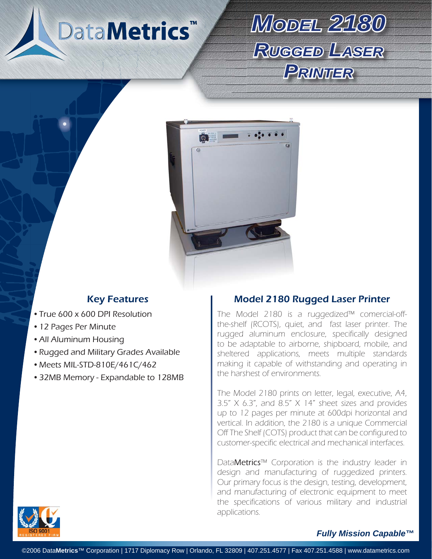# DataMetrics<sup>™</sup>

## *MODEL2180 RUGGEDLASER PRINTER*



- True 600 x 600 DPI Resolution
- 12 Pages Per Minute
- All Aluminum Housing •
- Rugged and Military Grades Available •
- Meets MIL-STD-810E/461C/462
- 32MB Memory Expandable to 128MB •

### Key Features **Model 2180 Rugged Laser Printer**

The Model 2180 is a ruggedized™ comercial-offthe-shelf (RCOTS), quiet, and fast laser printer. The rugged aluminum enclosure, specifically designed to be adaptable to airborne, shipboard, mobile, and sheltered applications, meets multiple standards making it capable of withstanding and operating in the harshest of environments.

The Model 2180 prints on letter, legal, executive, A4,  $3.5''$  X 6.3", and  $8.5''$  X 14" sheet sizes and provides up to 12 pages per minute at 600dpi horizontal and vertical. In addition, the 2180 is a unique Commercial Off The Shelf (COTS) product that can be configured to customer-specific electrical and mechanical interfaces.

DataMetrics™ Corporation is the industry leader in design and manufacturing of ruggedized printers. Our primary focus is the design, testing, development, and manufacturing of electronic equipment to meet the specifications of various military and industrial applications.



#### *Fully Mission Capable™*